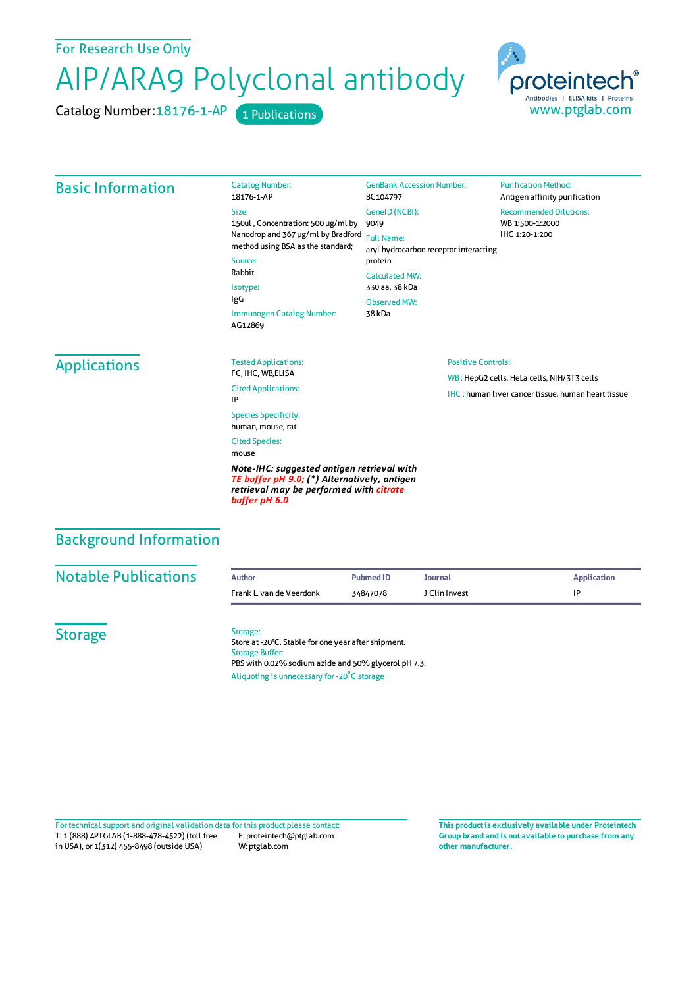For Research Use Only

## AIP/ARA9 Polyclonal antibody

Catalog Number: 18176-1-AP 1 Publications



| <b>Basic Information</b>      | <b>Catalog Number:</b><br>18176-1-AP<br>Size:<br>150ul, Concentration: 500 µg/ml by<br>Nanodrop and 367 µg/ml by Bradford<br>method using BSA as the standard;<br>Source:<br>Rabbit<br>Isotype:<br>IgG<br>Immunogen Catalog Number:                                                                                                              | <b>GenBank Accession Number:</b><br>BC104797<br>GeneID (NCBI):<br>9049<br><b>Full Name:</b><br>protein<br><b>Calculated MW:</b><br>330 aa, 38 kDa<br><b>Observed MW:</b><br>38 kDa | aryl hydrocarbon receptor interacting | <b>Purification Method:</b><br>Antigen affinity purification<br><b>Recommended Dilutions:</b><br>WB 1:500-1:2000<br>IHC 1:20-1:200 |
|-------------------------------|--------------------------------------------------------------------------------------------------------------------------------------------------------------------------------------------------------------------------------------------------------------------------------------------------------------------------------------------------|------------------------------------------------------------------------------------------------------------------------------------------------------------------------------------|---------------------------------------|------------------------------------------------------------------------------------------------------------------------------------|
| <b>Applications</b>           | AG12869<br><b>Tested Applications:</b><br>FC, IHC, WB, ELISA<br><b>Cited Applications:</b><br>IP<br><b>Species Specificity:</b><br>human, mouse, rat<br><b>Cited Species:</b><br>mouse<br>Note-IHC: suggested antigen retrieval with<br>TE buffer pH 9.0; (*) Alternatively, antigen<br>retrieval may be performed with citrate<br>buffer pH 6.0 |                                                                                                                                                                                    | <b>Positive Controls:</b>             | WB: HepG2 cells, HeLa cells, NIH/3T3 cells<br><b>IHC:</b> human liver cancer tissue, human heart tissue                            |
| <b>Background Information</b> |                                                                                                                                                                                                                                                                                                                                                  |                                                                                                                                                                                    |                                       |                                                                                                                                    |
| <b>Notable Publications</b>   | <b>Author</b><br>Frank L van de Veerdonk                                                                                                                                                                                                                                                                                                         | <b>Pubmed ID</b><br>34847078                                                                                                                                                       | <b>Journal</b><br>J Clin Invest       | <b>Application</b><br>IP                                                                                                           |
| <b>Storage</b>                | Storage:<br>Store at -20°C. Stable for one year after shipment.<br><b>Storage Buffer:</b><br>PBS with 0.02% sodium azide and 50% glycerol pH 7.3.<br>Aliquoting is unnecessary for -20°C storage                                                                                                                                                 |                                                                                                                                                                                    |                                       |                                                                                                                                    |

T: 1 (888) 4PTGLAB (1-888-478-4522) (toll free in USA), or 1(312) 455-8498 (outside USA) E: proteintech@ptglab.com W: ptglab.com Fortechnical support and original validation data forthis product please contact: **This productis exclusively available under Proteintech**

**Group brand and is not available to purchase from any other manufacturer.**